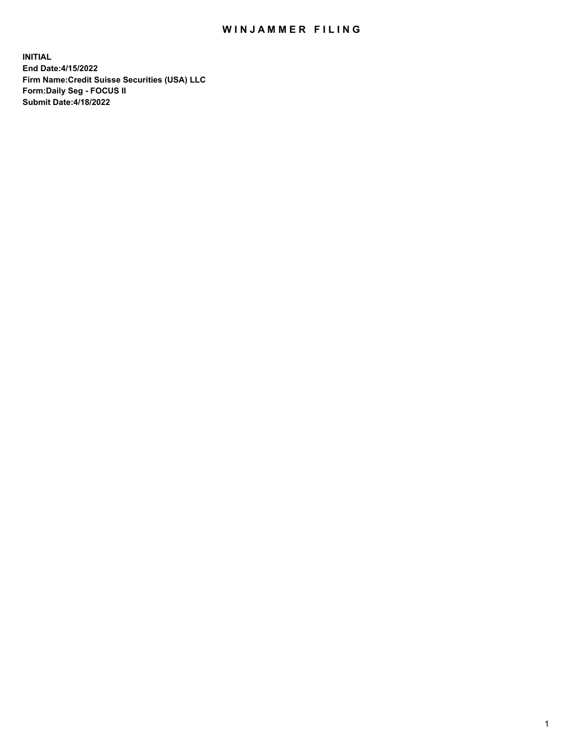# WIN JAMMER FILING

**INITIAL End Date:4/15/2022 Firm Name:Credit Suisse Securities (USA) LLC Form:Daily Seg - FOCUS II Submit Date:4/18/2022**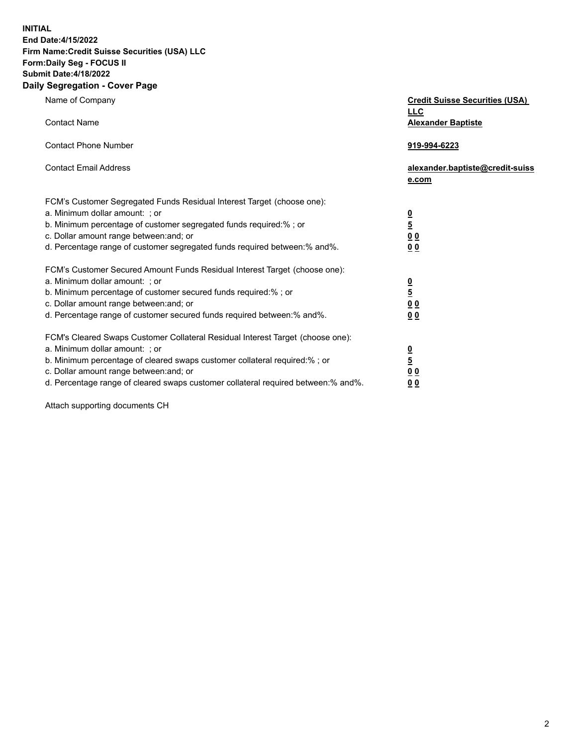**INITIAL End Date:4/15/2022** 

## **Firm Name:Credit Suisse Securities (USA) LLC Form:Daily Seg - FOCUS II Submit Date:4/18/2022**

#### **Daily Segregation - Cover Page**

| Name of Company                                                                                                                                                                                                                                                                                                                | <b>Credit Suisse Securities (USA)</b><br><b>LLC</b>              |
|--------------------------------------------------------------------------------------------------------------------------------------------------------------------------------------------------------------------------------------------------------------------------------------------------------------------------------|------------------------------------------------------------------|
| <b>Contact Name</b>                                                                                                                                                                                                                                                                                                            | <b>Alexander Baptiste</b>                                        |
| <b>Contact Phone Number</b>                                                                                                                                                                                                                                                                                                    | 919-994-6223                                                     |
| <b>Contact Email Address</b>                                                                                                                                                                                                                                                                                                   | alexander.baptiste@credit-suiss<br>e.com                         |
| FCM's Customer Segregated Funds Residual Interest Target (choose one):<br>a. Minimum dollar amount: ; or<br>b. Minimum percentage of customer segregated funds required:% ; or<br>c. Dollar amount range between: and; or<br>d. Percentage range of customer segregated funds required between:% and%.                         | $\frac{\frac{0}{5}}{\frac{0}{0}}$<br>0 <sub>0</sub>              |
| FCM's Customer Secured Amount Funds Residual Interest Target (choose one):<br>a. Minimum dollar amount: ; or<br>b. Minimum percentage of customer secured funds required:% ; or<br>c. Dollar amount range between: and; or<br>d. Percentage range of customer secured funds required between:% and%.                           | $\frac{0}{5}$<br>$\underline{0} \underline{0}$<br>0 <sub>0</sub> |
| FCM's Cleared Swaps Customer Collateral Residual Interest Target (choose one):<br>a. Minimum dollar amount: ; or<br>b. Minimum percentage of cleared swaps customer collateral required:% ; or<br>c. Dollar amount range between: and; or<br>d. Percentage range of cleared swaps customer collateral required between:% and%. | $\frac{0}{5}$<br>0 <sub>0</sub><br>0 <sub>0</sub>                |

Attach supporting documents CH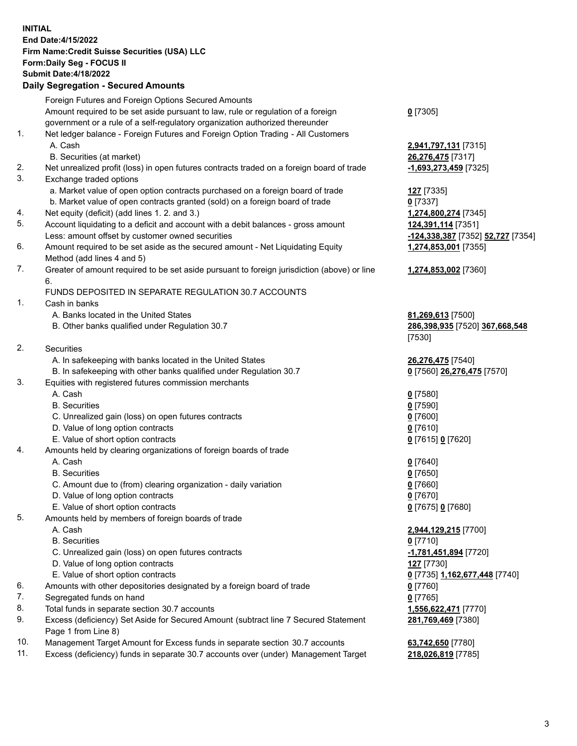### **INITIAL End Date:4/15/2022 Firm Name:Credit Suisse Securities (USA) LLC Form:Daily Seg - FOCUS II Submit Date:4/18/2022**

## **Daily Segregation - Secured Amounts**

|     | Foreign Futures and Foreign Options Secured Amounts                                         |                                                       |
|-----|---------------------------------------------------------------------------------------------|-------------------------------------------------------|
|     | Amount required to be set aside pursuant to law, rule or regulation of a foreign            | $0$ [7305]                                            |
|     | government or a rule of a self-regulatory organization authorized thereunder                |                                                       |
| 1.  | Net ledger balance - Foreign Futures and Foreign Option Trading - All Customers             |                                                       |
|     | A. Cash                                                                                     | 2,941,797,131 [7315]                                  |
|     | B. Securities (at market)                                                                   | 26,276,475 [7317]                                     |
| 2.  | Net unrealized profit (loss) in open futures contracts traded on a foreign board of trade   | -1,693,273,459 [7325]                                 |
| 3.  | Exchange traded options                                                                     |                                                       |
|     | a. Market value of open option contracts purchased on a foreign board of trade              | 127 [7335]                                            |
|     | b. Market value of open contracts granted (sold) on a foreign board of trade                | $0$ [7337]                                            |
| 4.  | Net equity (deficit) (add lines 1. 2. and 3.)                                               | 1,274,800,274 [7345]                                  |
| 5.  | Account liquidating to a deficit and account with a debit balances - gross amount           | 124,391,114 [7351]                                    |
|     | Less: amount offset by customer owned securities                                            | <mark>-124,338,387</mark> [7352] <b>52,727</b> [7354] |
| 6.  | Amount required to be set aside as the secured amount - Net Liquidating Equity              | 1,274,853,001 [7355]                                  |
|     | Method (add lines 4 and 5)                                                                  |                                                       |
| 7.  | Greater of amount required to be set aside pursuant to foreign jurisdiction (above) or line | 1,274,853,002 [7360]                                  |
|     | 6.                                                                                          |                                                       |
|     | FUNDS DEPOSITED IN SEPARATE REGULATION 30.7 ACCOUNTS                                        |                                                       |
| 1.  | Cash in banks                                                                               |                                                       |
|     | A. Banks located in the United States                                                       | 81,269,613 [7500]                                     |
|     | B. Other banks qualified under Regulation 30.7                                              | 286,398,935 [7520] 367,668,548                        |
|     |                                                                                             | [7530]                                                |
| 2.  | Securities                                                                                  |                                                       |
|     | A. In safekeeping with banks located in the United States                                   | 26,276,475 [7540]                                     |
|     | B. In safekeeping with other banks qualified under Regulation 30.7                          | 0 [7560] 26,276,475 [7570]                            |
| 3.  | Equities with registered futures commission merchants                                       |                                                       |
|     | A. Cash                                                                                     | $0$ [7580]                                            |
|     | <b>B.</b> Securities                                                                        | $0$ [7590]                                            |
|     | C. Unrealized gain (loss) on open futures contracts                                         | $0$ [7600]                                            |
|     | D. Value of long option contracts                                                           | $0$ [7610]                                            |
|     | E. Value of short option contracts                                                          | 0 [7615] 0 [7620]                                     |
| 4.  | Amounts held by clearing organizations of foreign boards of trade                           |                                                       |
|     | A. Cash                                                                                     | $0$ [7640]                                            |
|     | <b>B.</b> Securities                                                                        | $0$ [7650]                                            |
|     | C. Amount due to (from) clearing organization - daily variation                             | $0$ [7660]                                            |
|     | D. Value of long option contracts                                                           | $0$ [7670]                                            |
|     | E. Value of short option contracts                                                          | 0 [7675] 0 [7680]                                     |
| 5.  | Amounts held by members of foreign boards of trade                                          |                                                       |
|     | A. Cash                                                                                     | 2,944,129,215 [7700]                                  |
|     | <b>B.</b> Securities                                                                        | $0$ [7710]                                            |
|     | C. Unrealized gain (loss) on open futures contracts                                         | -1,781,451,894 [7720]                                 |
|     | D. Value of long option contracts                                                           | 127 [7730]                                            |
|     | E. Value of short option contracts                                                          | 0 [7735] 1,162,677,448 [7740]                         |
| 6.  | Amounts with other depositories designated by a foreign board of trade                      | $0$ [7760]                                            |
| 7.  | Segregated funds on hand                                                                    | $0$ [7765]                                            |
| 8.  | Total funds in separate section 30.7 accounts                                               | 1,556,622,471 [7770]                                  |
| 9.  | Excess (deficiency) Set Aside for Secured Amount (subtract line 7 Secured Statement         | 281,769,469 [7380]                                    |
|     | Page 1 from Line 8)                                                                         |                                                       |
| 10. | Management Target Amount for Excess funds in separate section 30.7 accounts                 | 63,742,650 [7780]                                     |

11. Excess (deficiency) funds in separate 30.7 accounts over (under) Management Target **218,026,819** [7785]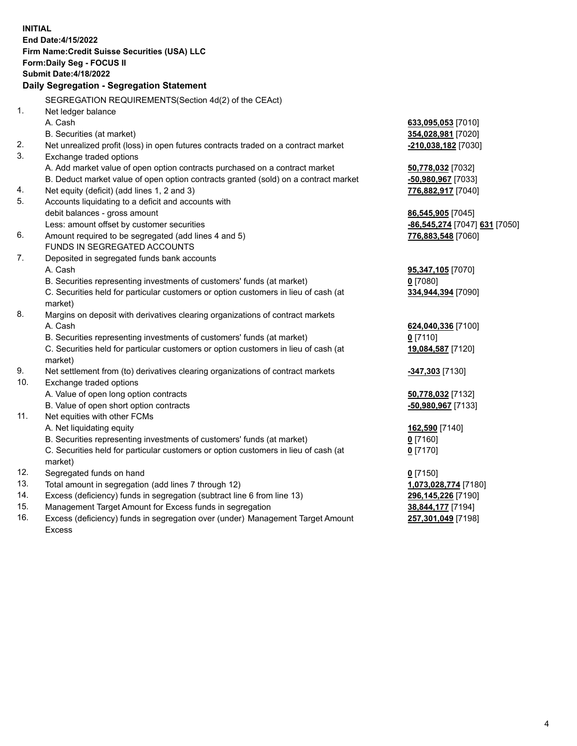|            | <b>INITIAL</b>                                                                                 |                               |
|------------|------------------------------------------------------------------------------------------------|-------------------------------|
|            | End Date: 4/15/2022                                                                            |                               |
|            | Firm Name: Credit Suisse Securities (USA) LLC                                                  |                               |
|            | Form: Daily Seg - FOCUS II                                                                     |                               |
|            | <b>Submit Date: 4/18/2022</b>                                                                  |                               |
|            | Daily Segregation - Segregation Statement                                                      |                               |
|            | SEGREGATION REQUIREMENTS(Section 4d(2) of the CEAct)                                           |                               |
| 1.         | Net ledger balance                                                                             |                               |
|            | A. Cash                                                                                        | 633,095,053 [7010]            |
|            | B. Securities (at market)                                                                      | 354,028,981 [7020]            |
| 2.         | Net unrealized profit (loss) in open futures contracts traded on a contract market             | -210,038,182 [7030]           |
| 3.         | Exchange traded options                                                                        |                               |
|            | A. Add market value of open option contracts purchased on a contract market                    | 50,778,032 [7032]             |
|            | B. Deduct market value of open option contracts granted (sold) on a contract market            | -50,980,967 [7033]            |
| 4.         | Net equity (deficit) (add lines 1, 2 and 3)                                                    | 776,882,917 [7040]            |
| 5.         | Accounts liquidating to a deficit and accounts with                                            |                               |
|            | debit balances - gross amount                                                                  | 86,545,905 [7045]             |
|            | Less: amount offset by customer securities                                                     | -86,545,274 [7047] 631 [7050] |
| 6.         | Amount required to be segregated (add lines 4 and 5)                                           | 776,883,548 [7060]            |
|            | <b>FUNDS IN SEGREGATED ACCOUNTS</b>                                                            |                               |
| 7.         | Deposited in segregated funds bank accounts                                                    |                               |
|            | A. Cash                                                                                        | 95,347,105 [7070]             |
|            | B. Securities representing investments of customers' funds (at market)                         | $0$ [7080]                    |
|            | C. Securities held for particular customers or option customers in lieu of cash (at            | 334,944,394 [7090]            |
|            | market)                                                                                        |                               |
| 8.         | Margins on deposit with derivatives clearing organizations of contract markets                 |                               |
|            | A. Cash                                                                                        | 624,040,336 [7100]            |
|            | B. Securities representing investments of customers' funds (at market)                         | $0$ [7110]                    |
|            | C. Securities held for particular customers or option customers in lieu of cash (at<br>market) | 19,084,587 [7120]             |
| 9.         | Net settlement from (to) derivatives clearing organizations of contract markets                | -347,303 [7130]               |
| 10.        | Exchange traded options                                                                        |                               |
|            | A. Value of open long option contracts                                                         | 50,778,032 [7132]             |
|            | B. Value of open short option contracts                                                        | -50,980,967 [7133]            |
| 11.        | Net equities with other FCMs                                                                   |                               |
|            | A. Net liquidating equity                                                                      | 162,590 [7140]                |
|            | B. Securities representing investments of customers' funds (at market)                         | $0$ [7160]                    |
|            | C. Securities held for particular customers or option customers in lieu of cash (at            | $0$ [7170]                    |
|            | market)                                                                                        |                               |
| 12.        | Segregated funds on hand                                                                       | $0$ [7150]                    |
| 13.        | Total amount in segregation (add lines 7 through 12)                                           | 1,073,028,774 [7180]          |
| 14.        | Excess (deficiency) funds in segregation (subtract line 6 from line 13)                        | 296,145,226 [7190]            |
| 15.<br>16. | Management Target Amount for Excess funds in segregation                                       | 38,844,177 [7194]             |
|            | Excess (deficiency) funds in segregation over (under) Management Target Amount                 | 257,301,049 [7198]            |

16. Excess (deficiency) funds in segregation over (under) Management Target Amount Excess